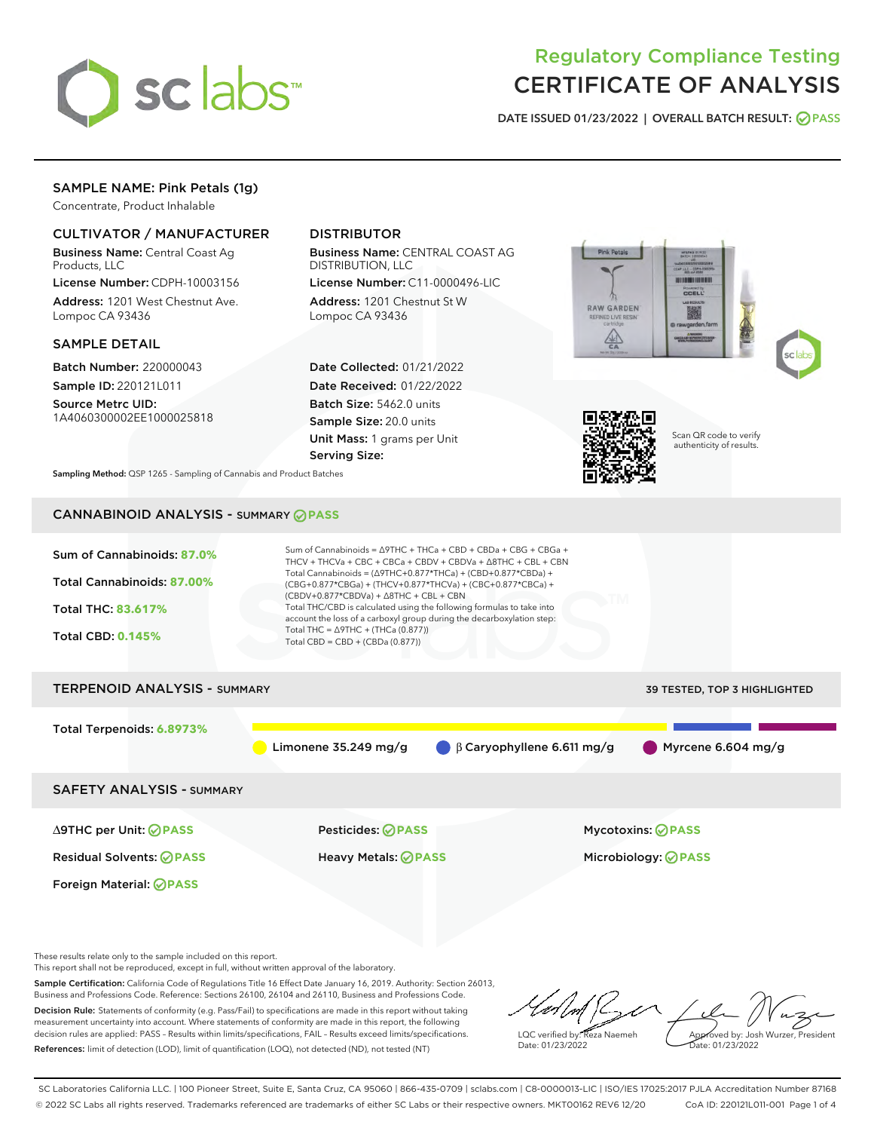

# Regulatory Compliance Testing CERTIFICATE OF ANALYSIS

DATE ISSUED 01/23/2022 | OVERALL BATCH RESULT: @ PASS

# SAMPLE NAME: Pink Petals (1g)

Concentrate, Product Inhalable

# CULTIVATOR / MANUFACTURER

Business Name: Central Coast Ag Products, LLC

License Number: CDPH-10003156 Address: 1201 West Chestnut Ave. Lompoc CA 93436

#### SAMPLE DETAIL

Batch Number: 220000043 Sample ID: 220121L011

Source Metrc UID:

1A4060300002EE1000025818

# DISTRIBUTOR

Business Name: CENTRAL COAST AG DISTRIBUTION, LLC

License Number: C11-0000496-LIC Address: 1201 Chestnut St W Lompoc CA 93436

Date Collected: 01/21/2022 Date Received: 01/22/2022 Batch Size: 5462.0 units Sample Size: 20.0 units Unit Mass: 1 grams per Unit Serving Size:





Scan QR code to verify authenticity of results.

Sampling Method: QSP 1265 - Sampling of Cannabis and Product Batches

# CANNABINOID ANALYSIS - SUMMARY **PASS**



These results relate only to the sample included on this report.

This report shall not be reproduced, except in full, without written approval of the laboratory.

Sample Certification: California Code of Regulations Title 16 Effect Date January 16, 2019. Authority: Section 26013, Business and Professions Code. Reference: Sections 26100, 26104 and 26110, Business and Professions Code. Decision Rule: Statements of conformity (e.g. Pass/Fail) to specifications are made in this report without taking measurement uncertainty into account. Where statements of conformity are made in this report, the following

decision rules are applied: PASS – Results within limits/specifications, FAIL – Results exceed limits/specifications. References: limit of detection (LOD), limit of quantification (LOQ), not detected (ND), not tested (NT)

LQC verified by: Reza Naemeh Date: 01/23/2022 Approved by: Josh Wurzer, President Date: 01/23/2022

SC Laboratories California LLC. | 100 Pioneer Street, Suite E, Santa Cruz, CA 95060 | 866-435-0709 | sclabs.com | C8-0000013-LIC | ISO/IES 17025:2017 PJLA Accreditation Number 87168 © 2022 SC Labs all rights reserved. Trademarks referenced are trademarks of either SC Labs or their respective owners. MKT00162 REV6 12/20 CoA ID: 220121L011-001 Page 1 of 4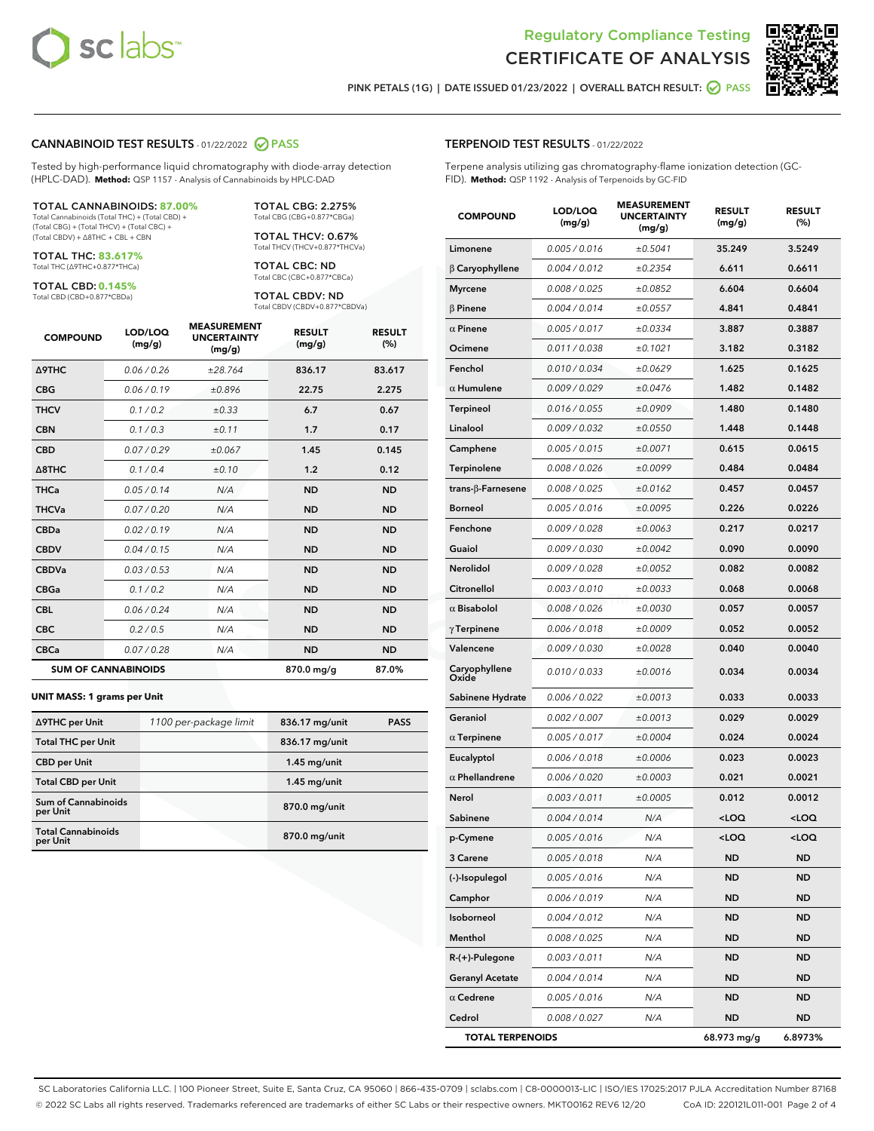



PINK PETALS (1G) | DATE ISSUED 01/23/2022 | OVERALL BATCH RESULT:  $\bigcirc$  PASS

#### CANNABINOID TEST RESULTS - 01/22/2022 2 PASS

Tested by high-performance liquid chromatography with diode-array detection (HPLC-DAD). **Method:** QSP 1157 - Analysis of Cannabinoids by HPLC-DAD

#### TOTAL CANNABINOIDS: **87.00%**

Total Cannabinoids (Total THC) + (Total CBD) + (Total CBG) + (Total THCV) + (Total CBC) + (Total CBDV) + ∆8THC + CBL + CBN

TOTAL THC: **83.617%** Total THC (∆9THC+0.877\*THCa)

TOTAL CBD: **0.145%**

Total CBD (CBD+0.877\*CBDa)

TOTAL CBG: 2.275% Total CBG (CBG+0.877\*CBGa)

TOTAL THCV: 0.67% Total THCV (THCV+0.877\*THCVa)

TOTAL CBC: ND Total CBC (CBC+0.877\*CBCa)

TOTAL CBDV: ND Total CBDV (CBDV+0.877\*CBDVa)

| <b>COMPOUND</b>  | LOD/LOQ<br>(mg/g)          | <b>MEASUREMENT</b><br><b>UNCERTAINTY</b><br>(mg/g) | <b>RESULT</b><br>(mg/g) | <b>RESULT</b><br>(%) |
|------------------|----------------------------|----------------------------------------------------|-------------------------|----------------------|
| <b>A9THC</b>     | 0.06 / 0.26                | ±28.764                                            | 836.17                  | 83.617               |
| <b>CBG</b>       | 0.06/0.19                  | ±0.896                                             | 22.75                   | 2.275                |
| <b>THCV</b>      | 0.1/0.2                    | $\pm 0.33$                                         | 6.7                     | 0.67                 |
| <b>CBN</b>       | 0.1/0.3                    | ±0.11                                              | 1.7                     | 0.17                 |
| <b>CBD</b>       | 0.07/0.29                  | ±0.067                                             | 1.45                    | 0.145                |
| $\triangle$ 8THC | 0.1/0.4                    | ±0.10                                              | 1.2                     | 0.12                 |
| <b>THCa</b>      | 0.05/0.14                  | N/A                                                | <b>ND</b>               | <b>ND</b>            |
| <b>THCVa</b>     | 0.07/0.20                  | N/A                                                | <b>ND</b>               | <b>ND</b>            |
| <b>CBDa</b>      | 0.02 / 0.19                | N/A                                                | <b>ND</b>               | <b>ND</b>            |
| <b>CBDV</b>      | 0.04 / 0.15                | N/A                                                | <b>ND</b>               | <b>ND</b>            |
| <b>CBDVa</b>     | 0.03/0.53                  | N/A                                                | <b>ND</b>               | <b>ND</b>            |
| <b>CBGa</b>      | 0.1 / 0.2                  | N/A                                                | <b>ND</b>               | <b>ND</b>            |
| <b>CBL</b>       | 0.06 / 0.24                | N/A                                                | <b>ND</b>               | <b>ND</b>            |
| <b>CBC</b>       | 0.2 / 0.5                  | N/A                                                | <b>ND</b>               | <b>ND</b>            |
| <b>CBCa</b>      | 0.07 / 0.28                | N/A                                                | <b>ND</b>               | <b>ND</b>            |
|                  | <b>SUM OF CANNABINOIDS</b> |                                                    | 870.0 mg/g              | 87.0%                |

#### **UNIT MASS: 1 grams per Unit**

| ∆9THC per Unit                         | 1100 per-package limit | 836.17 mg/unit  | <b>PASS</b> |
|----------------------------------------|------------------------|-----------------|-------------|
| <b>Total THC per Unit</b>              |                        | 836.17 mg/unit  |             |
| <b>CBD per Unit</b>                    |                        | $1.45$ mg/unit  |             |
| <b>Total CBD per Unit</b>              |                        | $1.45$ mg/unit  |             |
| <b>Sum of Cannabinoids</b><br>per Unit |                        | 870.0 mg/unit   |             |
| <b>Total Cannabinoids</b><br>per Unit  |                        | $870.0$ mg/unit |             |

|  | <b>TERPENOID TEST RESULTS - 01/22/2022</b> |  |
|--|--------------------------------------------|--|
|  |                                            |  |

Terpene analysis utilizing gas chromatography-flame ionization detection (GC-FID). **Method:** QSP 1192 - Analysis of Terpenoids by GC-FID

| <b>COMPOUND</b>           | LOD/LOQ<br>(mg/g) | <b>MEASUREMENT</b><br><b>UNCERTAINTY</b><br>(mg/g) | <b>RESULT</b><br>(mg/g)                         | <b>RESULT</b><br>$(\%)$ |
|---------------------------|-------------------|----------------------------------------------------|-------------------------------------------------|-------------------------|
| Limonene                  | 0.005 / 0.016     | ±0.5041                                            | 35.249                                          | 3.5249                  |
| $\beta$ Caryophyllene     | 0.004 / 0.012     | ±0.2354                                            | 6.611                                           | 0.6611                  |
| <b>Myrcene</b>            | 0.008 / 0.025     | ±0.0852                                            | 6.604                                           | 0.6604                  |
| <b>B</b> Pinene           | 0.004 / 0.014     | ±0.0557                                            | 4.841                                           | 0.4841                  |
| $\alpha$ Pinene           | 0.005 / 0.017     | ±0.0334                                            | 3.887                                           | 0.3887                  |
| Ocimene                   | 0.011 / 0.038     | ±0.1021                                            | 3.182                                           | 0.3182                  |
| Fenchol                   | 0.010 / 0.034     | ±0.0629                                            | 1.625                                           | 0.1625                  |
| $\alpha$ Humulene         | 0.009 / 0.029     | ±0.0476                                            | 1.482                                           | 0.1482                  |
| Terpineol                 | 0.016 / 0.055     | ±0.0909                                            | 1.480                                           | 0.1480                  |
| Linalool                  | 0.009 / 0.032     | ±0.0550                                            | 1.448                                           | 0.1448                  |
| Camphene                  | 0.005 / 0.015     | ±0.0071                                            | 0.615                                           | 0.0615                  |
| Terpinolene               | 0.008 / 0.026     | ±0.0099                                            | 0.484                                           | 0.0484                  |
| trans- $\beta$ -Farnesene | 0.008 / 0.025     | ±0.0162                                            | 0.457                                           | 0.0457                  |
| Borneol                   | 0.005 / 0.016     | ±0.0095                                            | 0.226                                           | 0.0226                  |
| Fenchone                  | 0.009 / 0.028     | ±0.0063                                            | 0.217                                           | 0.0217                  |
| Guaiol                    | 0.009 / 0.030     | ±0.0042                                            | 0.090                                           | 0.0090                  |
| Nerolidol                 | 0.009 / 0.028     | ±0.0052                                            | 0.082                                           | 0.0082                  |
| Citronellol               | 0.003 / 0.010     | ±0.0033                                            | 0.068                                           | 0.0068                  |
| $\alpha$ Bisabolol        | 0.008 / 0.026     | ±0.0030                                            | 0.057                                           | 0.0057                  |
| $\gamma$ Terpinene        | 0.006 / 0.018     | ±0.0009                                            | 0.052                                           | 0.0052                  |
| Valencene                 | 0.009 / 0.030     | ±0.0028                                            | 0.040                                           | 0.0040                  |
| Caryophyllene<br>Oxide    | 0.010 / 0.033     | ±0.0016                                            | 0.034                                           | 0.0034                  |
| Sabinene Hydrate          | 0.006 / 0.022     | ±0.0013                                            | 0.033                                           | 0.0033                  |
| Geraniol                  | 0.002 / 0.007     | ±0.0013                                            | 0.029                                           | 0.0029                  |
| $\alpha$ Terpinene        | 0.005 / 0.017     | ±0.0004                                            | 0.024                                           | 0.0024                  |
| Eucalyptol                | 0.006 / 0.018     | ±0.0006                                            | 0.023                                           | 0.0023                  |
| $\alpha$ Phellandrene     | 0.006 / 0.020     | ±0.0003                                            | 0.021                                           | 0.0021                  |
| Nerol                     | 0.003 / 0.011     | ±0.0005                                            | 0.012                                           | 0.0012                  |
| Sabinene                  | 0.004 / 0.014     | N/A                                                | <loq< th=""><th><loq< th=""></loq<></th></loq<> | <loq< th=""></loq<>     |
| p-Cymene                  | 0.005 / 0.016     | N/A                                                | <loq< th=""><th><loq< th=""></loq<></th></loq<> | <loq< th=""></loq<>     |
| 3 Carene                  | 0.005 / 0.018     | N/A                                                | ND                                              | ND                      |
| (-)-Isopulegol            | 0.005 / 0.016     | N/A                                                | ND                                              | ND                      |
| Camphor                   | 0.006 / 0.019     | N/A                                                | ND                                              | ND                      |
| Isoborneol                | 0.004 / 0.012     | N/A                                                | <b>ND</b>                                       | ND                      |
| Menthol                   | 0.008 / 0.025     | N/A                                                | ND                                              | ND                      |
| R-(+)-Pulegone            | 0.003 / 0.011     | N/A                                                | ND                                              | ND                      |
| <b>Geranyl Acetate</b>    | 0.004 / 0.014     | N/A                                                | <b>ND</b>                                       | ND                      |
| $\alpha$ Cedrene          | 0.005 / 0.016     | N/A                                                | ND                                              | ND                      |
| Cedrol                    | 0.008 / 0.027     | N/A                                                | ND                                              | ND                      |
| <b>TOTAL TERPENOIDS</b>   |                   |                                                    | 68.973 mg/g                                     | 6.8973%                 |

SC Laboratories California LLC. | 100 Pioneer Street, Suite E, Santa Cruz, CA 95060 | 866-435-0709 | sclabs.com | C8-0000013-LIC | ISO/IES 17025:2017 PJLA Accreditation Number 87168 © 2022 SC Labs all rights reserved. Trademarks referenced are trademarks of either SC Labs or their respective owners. MKT00162 REV6 12/20 CoA ID: 220121L011-001 Page 2 of 4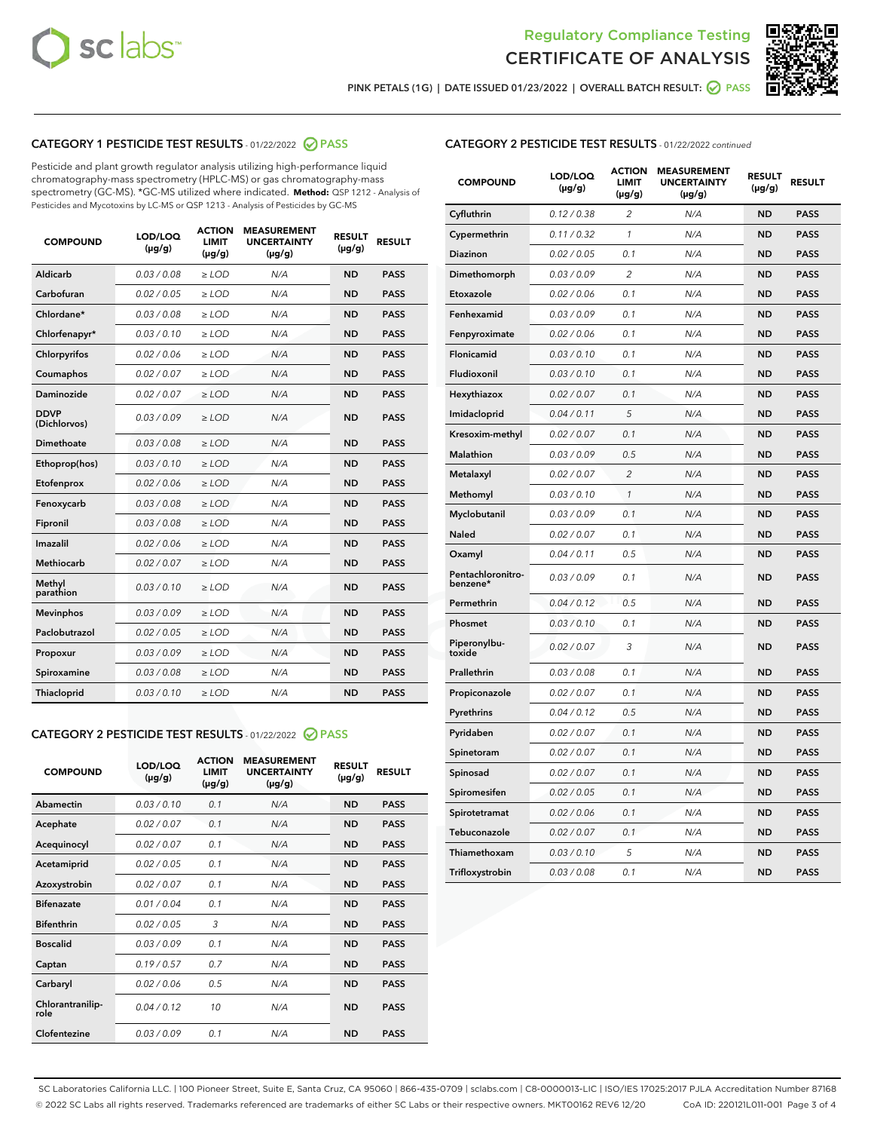



PINK PETALS (1G) | DATE ISSUED 01/23/2022 | OVERALL BATCH RESULT:  $\bigcirc$  PASS

# CATEGORY 1 PESTICIDE TEST RESULTS - 01/22/2022 2 PASS

Pesticide and plant growth regulator analysis utilizing high-performance liquid chromatography-mass spectrometry (HPLC-MS) or gas chromatography-mass spectrometry (GC-MS). \*GC-MS utilized where indicated. **Method:** QSP 1212 - Analysis of Pesticides and Mycotoxins by LC-MS or QSP 1213 - Analysis of Pesticides by GC-MS

| <b>COMPOUND</b>             | LOD/LOQ<br>$(\mu g/g)$ | <b>ACTION</b><br><b>LIMIT</b><br>$(\mu g/g)$ | <b>MEASUREMENT</b><br><b>UNCERTAINTY</b><br>$(\mu g/g)$ | <b>RESULT</b><br>$(\mu g/g)$ | <b>RESULT</b> |
|-----------------------------|------------------------|----------------------------------------------|---------------------------------------------------------|------------------------------|---------------|
| Aldicarb                    | 0.03 / 0.08            | $\ge$ LOD                                    | N/A                                                     | <b>ND</b>                    | <b>PASS</b>   |
| Carbofuran                  | 0.02 / 0.05            | $\geq$ LOD                                   | N/A                                                     | <b>ND</b>                    | <b>PASS</b>   |
| Chlordane*                  | 0.03 / 0.08            | $\ge$ LOD                                    | N/A                                                     | <b>ND</b>                    | <b>PASS</b>   |
| Chlorfenapyr*               | 0.03/0.10              | $\ge$ LOD                                    | N/A                                                     | <b>ND</b>                    | <b>PASS</b>   |
| Chlorpyrifos                | 0.02 / 0.06            | $\geq$ LOD                                   | N/A                                                     | <b>ND</b>                    | <b>PASS</b>   |
| Coumaphos                   | 0.02 / 0.07            | $\ge$ LOD                                    | N/A                                                     | <b>ND</b>                    | <b>PASS</b>   |
| Daminozide                  | 0.02 / 0.07            | $\ge$ LOD                                    | N/A                                                     | <b>ND</b>                    | <b>PASS</b>   |
| <b>DDVP</b><br>(Dichlorvos) | 0.03/0.09              | $>$ LOD                                      | N/A                                                     | <b>ND</b>                    | <b>PASS</b>   |
| Dimethoate                  | 0.03/0.08              | $\ge$ LOD                                    | N/A                                                     | <b>ND</b>                    | <b>PASS</b>   |
| Ethoprop(hos)               | 0.03 / 0.10            | $>$ LOD                                      | N/A                                                     | <b>ND</b>                    | <b>PASS</b>   |
| Etofenprox                  | 0.02 / 0.06            | $\ge$ LOD                                    | N/A                                                     | <b>ND</b>                    | <b>PASS</b>   |
| Fenoxycarb                  | 0.03/0.08              | $\ge$ LOD                                    | N/A                                                     | <b>ND</b>                    | <b>PASS</b>   |
| Fipronil                    | 0.03/0.08              | $\ge$ LOD                                    | N/A                                                     | <b>ND</b>                    | <b>PASS</b>   |
| Imazalil                    | 0.02 / 0.06            | $>$ LOD                                      | N/A                                                     | <b>ND</b>                    | <b>PASS</b>   |
| <b>Methiocarb</b>           | 0.02 / 0.07            | $\ge$ LOD                                    | N/A                                                     | <b>ND</b>                    | <b>PASS</b>   |
| Methyl<br>parathion         | 0.03/0.10              | $\ge$ LOD                                    | N/A                                                     | <b>ND</b>                    | <b>PASS</b>   |
| <b>Mevinphos</b>            | 0.03/0.09              | $\ge$ LOD                                    | N/A                                                     | <b>ND</b>                    | <b>PASS</b>   |
| Paclobutrazol               | 0.02 / 0.05            | $>$ LOD                                      | N/A                                                     | <b>ND</b>                    | <b>PASS</b>   |
| Propoxur                    | 0.03/0.09              | $\ge$ LOD                                    | N/A                                                     | <b>ND</b>                    | <b>PASS</b>   |
| Spiroxamine                 | 0.03 / 0.08            | $\ge$ LOD                                    | N/A                                                     | <b>ND</b>                    | <b>PASS</b>   |
| Thiacloprid                 | 0.03/0.10              | $\ge$ LOD                                    | N/A                                                     | <b>ND</b>                    | <b>PASS</b>   |

#### CATEGORY 2 PESTICIDE TEST RESULTS - 01/22/2022 PASS

| <b>COMPOUND</b>          | LOD/LOO<br>$(\mu g/g)$ | <b>ACTION</b><br>LIMIT<br>$(\mu g/g)$ | <b>MEASUREMENT</b><br><b>UNCERTAINTY</b><br>$(\mu g/g)$ | <b>RESULT</b><br>$(\mu g/g)$ | <b>RESULT</b> |
|--------------------------|------------------------|---------------------------------------|---------------------------------------------------------|------------------------------|---------------|
| Abamectin                | 0.03/0.10              | 0.1                                   | N/A                                                     | <b>ND</b>                    | <b>PASS</b>   |
| Acephate                 | 0.02/0.07              | 0.1                                   | N/A                                                     | <b>ND</b>                    | <b>PASS</b>   |
| Acequinocyl              | 0.02/0.07              | 0.1                                   | N/A                                                     | <b>ND</b>                    | <b>PASS</b>   |
| Acetamiprid              | 0.02/0.05              | 0.1                                   | N/A                                                     | <b>ND</b>                    | <b>PASS</b>   |
| Azoxystrobin             | 0.02/0.07              | 0.1                                   | N/A                                                     | <b>ND</b>                    | <b>PASS</b>   |
| <b>Bifenazate</b>        | 0.01/0.04              | 0.1                                   | N/A                                                     | <b>ND</b>                    | <b>PASS</b>   |
| <b>Bifenthrin</b>        | 0.02/0.05              | 3                                     | N/A                                                     | <b>ND</b>                    | <b>PASS</b>   |
| <b>Boscalid</b>          | 0.03/0.09              | 0.1                                   | N/A                                                     | <b>ND</b>                    | <b>PASS</b>   |
| Captan                   | 0.19/0.57              | 0.7                                   | N/A                                                     | <b>ND</b>                    | <b>PASS</b>   |
| Carbaryl                 | 0.02/0.06              | 0.5                                   | N/A                                                     | <b>ND</b>                    | <b>PASS</b>   |
| Chlorantranilip-<br>role | 0.04/0.12              | 10                                    | N/A                                                     | <b>ND</b>                    | <b>PASS</b>   |
| Clofentezine             | 0.03/0.09              | 0.1                                   | N/A                                                     | <b>ND</b>                    | <b>PASS</b>   |

# CATEGORY 2 PESTICIDE TEST RESULTS - 01/22/2022 continued

| <b>COMPOUND</b>               | LOD/LOQ<br>$(\mu g/g)$ | <b>ACTION</b><br>LIMIT<br>$(\mu g/g)$ | <b>MEASUREMENT</b><br><b>UNCERTAINTY</b><br>$(\mu g/g)$ | <b>RESULT</b><br>(µg/g) | <b>RESULT</b> |
|-------------------------------|------------------------|---------------------------------------|---------------------------------------------------------|-------------------------|---------------|
| Cyfluthrin                    | 0.12 / 0.38            | $\overline{2}$                        | N/A                                                     | <b>ND</b>               | <b>PASS</b>   |
| Cypermethrin                  | 0.11 / 0.32            | 1                                     | N/A                                                     | <b>ND</b>               | PASS          |
| Diazinon                      | 0.02 / 0.05            | 0.1                                   | N/A                                                     | ND                      | PASS          |
| Dimethomorph                  | 0.03 / 0.09            | 2                                     | N/A                                                     | ND                      | <b>PASS</b>   |
| Etoxazole                     | 0.02 / 0.06            | 0.1                                   | N/A                                                     | ND                      | PASS          |
| Fenhexamid                    | 0.03 / 0.09            | 0.1                                   | N/A                                                     | ND                      | <b>PASS</b>   |
| Fenpyroximate                 | 0.02 / 0.06            | 0.1                                   | N/A                                                     | ND                      | <b>PASS</b>   |
| Flonicamid                    | 0.03 / 0.10            | 0.1                                   | N/A                                                     | <b>ND</b>               | <b>PASS</b>   |
| Fludioxonil                   | 0.03 / 0.10            | 0.1                                   | N/A                                                     | ND                      | <b>PASS</b>   |
| Hexythiazox                   | 0.02 / 0.07            | 0.1                                   | N/A                                                     | <b>ND</b>               | PASS          |
| Imidacloprid                  | 0.04 / 0.11            | 5                                     | N/A                                                     | <b>ND</b>               | <b>PASS</b>   |
| Kresoxim-methyl               | 0.02 / 0.07            | 0.1                                   | N/A                                                     | <b>ND</b>               | <b>PASS</b>   |
| <b>Malathion</b>              | 0.03 / 0.09            | 0.5                                   | N/A                                                     | ND                      | <b>PASS</b>   |
| Metalaxyl                     | 0.02 / 0.07            | $\overline{c}$                        | N/A                                                     | <b>ND</b>               | <b>PASS</b>   |
| Methomyl                      | 0.03 / 0.10            | $\mathcal{I}$                         | N/A                                                     | ND                      | PASS          |
| Myclobutanil                  | 0.03 / 0.09            | 0.1                                   | N/A                                                     | <b>ND</b>               | <b>PASS</b>   |
| Naled                         | 0.02 / 0.07            | 0.1                                   | N/A                                                     | ND                      | <b>PASS</b>   |
| Oxamyl                        | 0.04 / 0.11            | 0.5                                   | N/A                                                     | ND                      | PASS          |
| Pentachloronitro-<br>benzene* | 0.03 / 0.09            | 0.1                                   | N/A                                                     | ND                      | PASS          |
| Permethrin                    | 0.04 / 0.12            | 0.5                                   | N/A                                                     | <b>ND</b>               | <b>PASS</b>   |
| Phosmet                       | 0.03 / 0.10            | 0.1                                   | N/A                                                     | ND                      | PASS          |
| Piperonylbu-<br>toxide        | 0.02 / 0.07            | 3                                     | N/A                                                     | ND                      | <b>PASS</b>   |
| Prallethrin                   | 0.03 / 0.08            | 0.1                                   | N/A                                                     | <b>ND</b>               | <b>PASS</b>   |
| Propiconazole                 | 0.02 / 0.07            | 0.1                                   | N/A                                                     | ND                      | PASS          |
| Pyrethrins                    | 0.04 / 0.12            | 0.5                                   | N/A                                                     | ND                      | <b>PASS</b>   |
| Pyridaben                     | 0.02 / 0.07            | 0.1                                   | N/A                                                     | <b>ND</b>               | <b>PASS</b>   |
| Spinetoram                    | 0.02 / 0.07            | 0.1                                   | N/A                                                     | ND                      | PASS          |
| Spinosad                      | 0.02 / 0.07            | 0.1                                   | N/A                                                     | <b>ND</b>               | <b>PASS</b>   |
| Spiromesifen                  | 0.02 / 0.05            | 0.1                                   | N/A                                                     | ND                      | <b>PASS</b>   |
| Spirotetramat                 | 0.02 / 0.06            | 0.1                                   | N/A                                                     | ND                      | PASS          |
| Tebuconazole                  | 0.02 / 0.07            | 0.1                                   | N/A                                                     | ND                      | <b>PASS</b>   |
| Thiamethoxam                  | 0.03 / 0.10            | 5                                     | N/A                                                     | ND                      | <b>PASS</b>   |
| Trifloxystrobin               | 0.03 / 0.08            | 0.1                                   | N/A                                                     | <b>ND</b>               | <b>PASS</b>   |

SC Laboratories California LLC. | 100 Pioneer Street, Suite E, Santa Cruz, CA 95060 | 866-435-0709 | sclabs.com | C8-0000013-LIC | ISO/IES 17025:2017 PJLA Accreditation Number 87168 © 2022 SC Labs all rights reserved. Trademarks referenced are trademarks of either SC Labs or their respective owners. MKT00162 REV6 12/20 CoA ID: 220121L011-001 Page 3 of 4